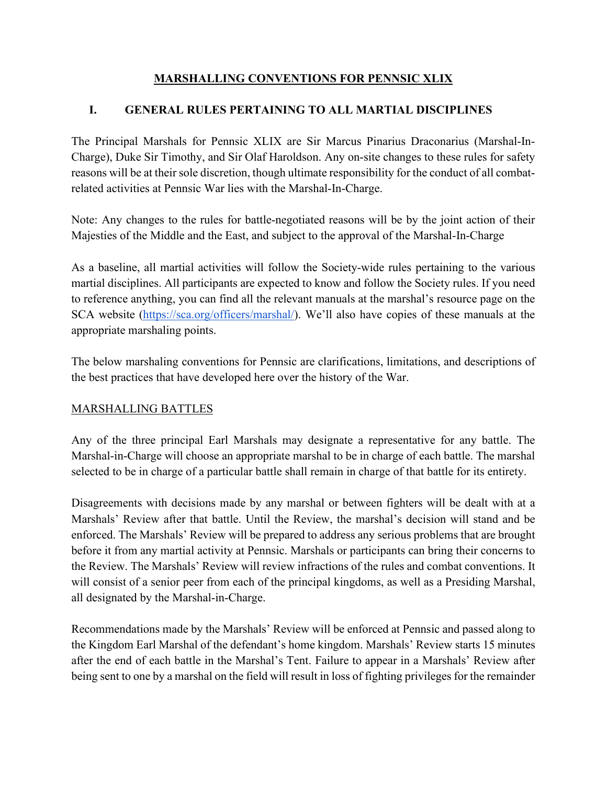## **MARSHALLING CONVENTIONS FOR PENNSIC XLIX**

## **I. GENERAL RULES PERTAINING TO ALL MARTIAL DISCIPLINES**

The Principal Marshals for Pennsic XLIX are Sir Marcus Pinarius Draconarius (Marshal-In-Charge), Duke Sir Timothy, and Sir Olaf Haroldson. Any on-site changes to these rules for safety reasons will be at their sole discretion, though ultimate responsibility for the conduct of all combatrelated activities at Pennsic War lies with the Marshal-In-Charge.

Note: Any changes to the rules for battle-negotiated reasons will be by the joint action of their Majesties of the Middle and the East, and subject to the approval of the Marshal-In-Charge

As a baseline, all martial activities will follow the Society-wide rules pertaining to the various martial disciplines. All participants are expected to know and follow the Society rules. If you need to reference anything, you can find all the relevant manuals at the marshal's resource page on the SCA website [\(https://sca.org/officers/marshal/\)](https://sca.org/officers/marshal/). We'll also have copies of these manuals at the appropriate marshaling points.

The below marshaling conventions for Pennsic are clarifications, limitations, and descriptions of the best practices that have developed here over the history of the War.

## MARSHALLING BATTLES

Any of the three principal Earl Marshals may designate a representative for any battle. The Marshal-in-Charge will choose an appropriate marshal to be in charge of each battle. The marshal selected to be in charge of a particular battle shall remain in charge of that battle for its entirety.

Disagreements with decisions made by any marshal or between fighters will be dealt with at a Marshals' Review after that battle. Until the Review, the marshal's decision will stand and be enforced. The Marshals' Review will be prepared to address any serious problems that are brought before it from any martial activity at Pennsic. Marshals or participants can bring their concerns to the Review. The Marshals' Review will review infractions of the rules and combat conventions. It will consist of a senior peer from each of the principal kingdoms, as well as a Presiding Marshal, all designated by the Marshal-in-Charge.

Recommendations made by the Marshals' Review will be enforced at Pennsic and passed along to the Kingdom Earl Marshal of the defendant's home kingdom. Marshals' Review starts 15 minutes after the end of each battle in the Marshal's Tent. Failure to appear in a Marshals' Review after being sent to one by a marshal on the field will result in loss of fighting privileges for the remainder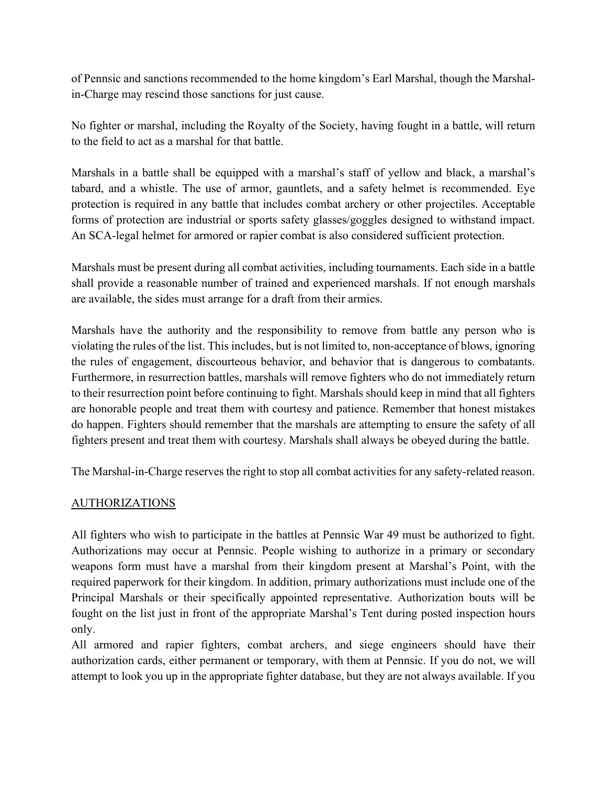of Pennsic and sanctions recommended to the home kingdom's Earl Marshal, though the Marshalin-Charge may rescind those sanctions for just cause.

No fighter or marshal, including the Royalty of the Society, having fought in a battle, will return to the field to act as a marshal for that battle.

Marshals in a battle shall be equipped with a marshal's staff of yellow and black, a marshal's tabard, and a whistle. The use of armor, gauntlets, and a safety helmet is recommended. Eye protection is required in any battle that includes combat archery or other projectiles. Acceptable forms of protection are industrial or sports safety glasses/goggles designed to withstand impact. An SCA-legal helmet for armored or rapier combat is also considered sufficient protection.

Marshals must be present during all combat activities, including tournaments. Each side in a battle shall provide a reasonable number of trained and experienced marshals. If not enough marshals are available, the sides must arrange for a draft from their armies.

Marshals have the authority and the responsibility to remove from battle any person who is violating the rules of the list. This includes, but is not limited to, non-acceptance of blows, ignoring the rules of engagement, discourteous behavior, and behavior that is dangerous to combatants. Furthermore, in resurrection battles, marshals will remove fighters who do not immediately return to their resurrection point before continuing to fight. Marshals should keep in mind that all fighters are honorable people and treat them with courtesy and patience. Remember that honest mistakes do happen. Fighters should remember that the marshals are attempting to ensure the safety of all fighters present and treat them with courtesy. Marshals shall always be obeyed during the battle.

The Marshal-in-Charge reserves the right to stop all combat activities for any safety-related reason.

## AUTHORIZATIONS

All fighters who wish to participate in the battles at Pennsic War 49 must be authorized to fight. Authorizations may occur at Pennsic. People wishing to authorize in a primary or secondary weapons form must have a marshal from their kingdom present at Marshal's Point, with the required paperwork for their kingdom. In addition, primary authorizations must include one of the Principal Marshals or their specifically appointed representative. Authorization bouts will be fought on the list just in front of the appropriate Marshal's Tent during posted inspection hours only.

All armored and rapier fighters, combat archers, and siege engineers should have their authorization cards, either permanent or temporary, with them at Pennsic. If you do not, we will attempt to look you up in the appropriate fighter database, but they are not always available. If you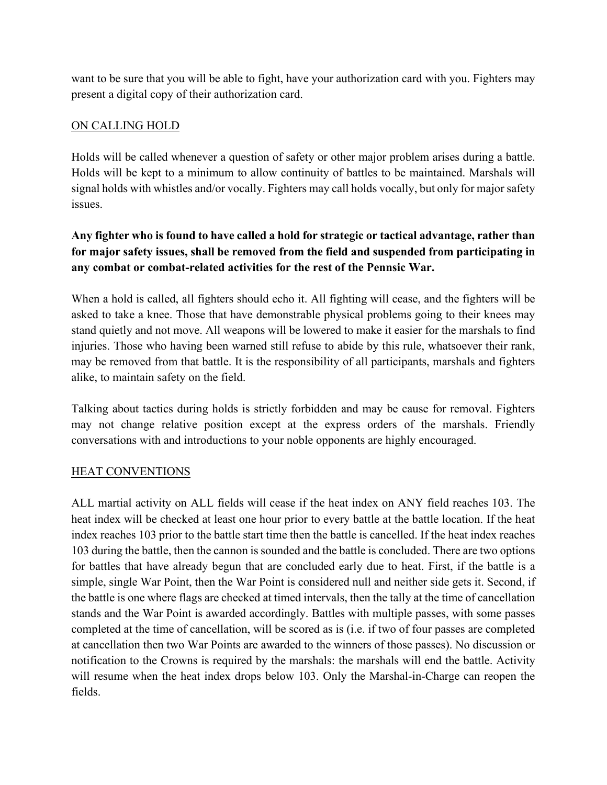want to be sure that you will be able to fight, have your authorization card with you. Fighters may present a digital copy of their authorization card.

# ON CALLING HOLD

Holds will be called whenever a question of safety or other major problem arises during a battle. Holds will be kept to a minimum to allow continuity of battles to be maintained. Marshals will signal holds with whistles and/or vocally. Fighters may call holds vocally, but only for major safety issues.

# **Any fighter who is found to have called a hold for strategic or tactical advantage, rather than for major safety issues, shall be removed from the field and suspended from participating in any combat or combat-related activities for the rest of the Pennsic War.**

When a hold is called, all fighters should echo it. All fighting will cease, and the fighters will be asked to take a knee. Those that have demonstrable physical problems going to their knees may stand quietly and not move. All weapons will be lowered to make it easier for the marshals to find injuries. Those who having been warned still refuse to abide by this rule, whatsoever their rank, may be removed from that battle. It is the responsibility of all participants, marshals and fighters alike, to maintain safety on the field.

Talking about tactics during holds is strictly forbidden and may be cause for removal. Fighters may not change relative position except at the express orders of the marshals. Friendly conversations with and introductions to your noble opponents are highly encouraged.

## HEAT CONVENTIONS

ALL martial activity on ALL fields will cease if the heat index on ANY field reaches 103. The heat index will be checked at least one hour prior to every battle at the battle location. If the heat index reaches 103 prior to the battle start time then the battle is cancelled. If the heat index reaches 103 during the battle, then the cannon is sounded and the battle is concluded. There are two options for battles that have already begun that are concluded early due to heat. First, if the battle is a simple, single War Point, then the War Point is considered null and neither side gets it. Second, if the battle is one where flags are checked at timed intervals, then the tally at the time of cancellation stands and the War Point is awarded accordingly. Battles with multiple passes, with some passes completed at the time of cancellation, will be scored as is (i.e. if two of four passes are completed at cancellation then two War Points are awarded to the winners of those passes). No discussion or notification to the Crowns is required by the marshals: the marshals will end the battle. Activity will resume when the heat index drops below 103. Only the Marshal-in-Charge can reopen the fields.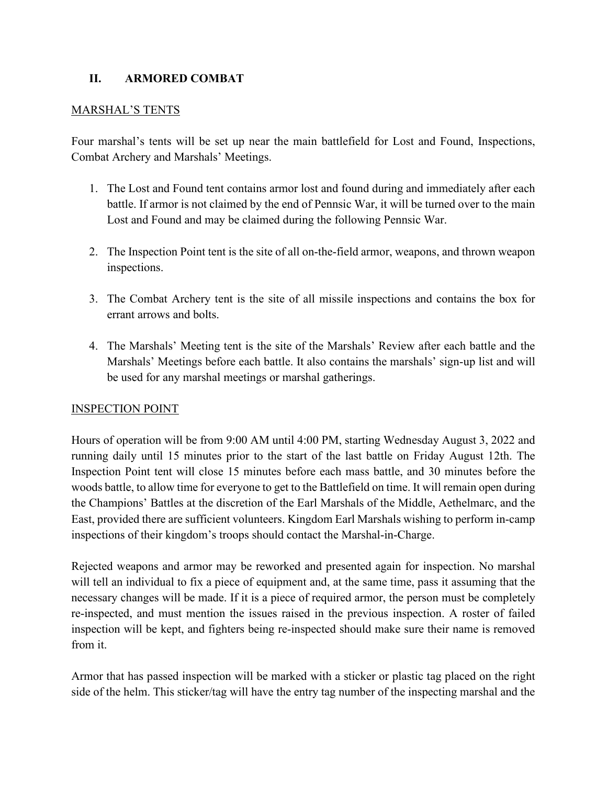## **II. ARMORED COMBAT**

### MARSHAL'S TENTS

Four marshal's tents will be set up near the main battlefield for Lost and Found, Inspections, Combat Archery and Marshals' Meetings.

- 1. The Lost and Found tent contains armor lost and found during and immediately after each battle. If armor is not claimed by the end of Pennsic War, it will be turned over to the main Lost and Found and may be claimed during the following Pennsic War.
- 2. The Inspection Point tent is the site of all on-the-field armor, weapons, and thrown weapon inspections.
- 3. The Combat Archery tent is the site of all missile inspections and contains the box for errant arrows and bolts.
- 4. The Marshals' Meeting tent is the site of the Marshals' Review after each battle and the Marshals' Meetings before each battle. It also contains the marshals' sign-up list and will be used for any marshal meetings or marshal gatherings.

## INSPECTION POINT

Hours of operation will be from 9:00 AM until 4:00 PM, starting Wednesday August 3, 2022 and running daily until 15 minutes prior to the start of the last battle on Friday August 12th. The Inspection Point tent will close 15 minutes before each mass battle, and 30 minutes before the woods battle, to allow time for everyone to get to the Battlefield on time. It will remain open during the Champions' Battles at the discretion of the Earl Marshals of the Middle, Aethelmarc, and the East, provided there are sufficient volunteers. Kingdom Earl Marshals wishing to perform in-camp inspections of their kingdom's troops should contact the Marshal-in-Charge.

Rejected weapons and armor may be reworked and presented again for inspection. No marshal will tell an individual to fix a piece of equipment and, at the same time, pass it assuming that the necessary changes will be made. If it is a piece of required armor, the person must be completely re-inspected, and must mention the issues raised in the previous inspection. A roster of failed inspection will be kept, and fighters being re-inspected should make sure their name is removed from it.

Armor that has passed inspection will be marked with a sticker or plastic tag placed on the right side of the helm. This sticker/tag will have the entry tag number of the inspecting marshal and the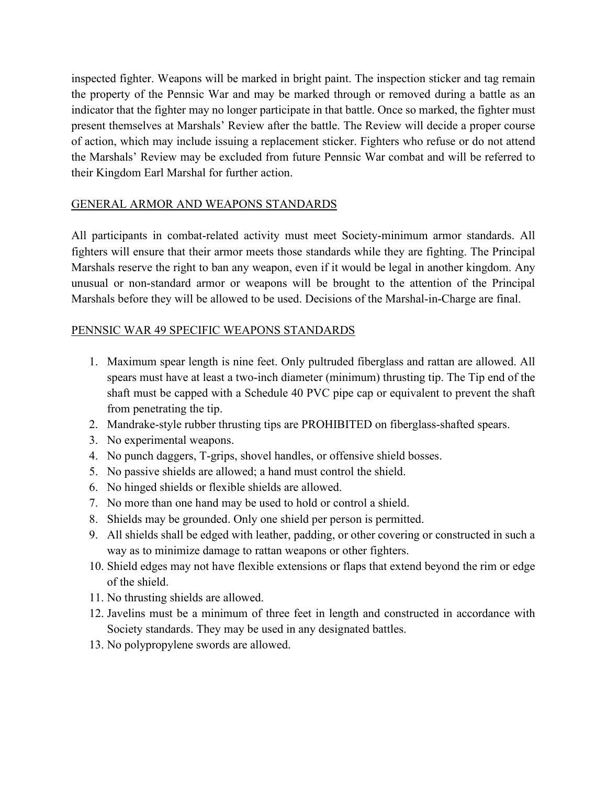inspected fighter. Weapons will be marked in bright paint. The inspection sticker and tag remain the property of the Pennsic War and may be marked through or removed during a battle as an indicator that the fighter may no longer participate in that battle. Once so marked, the fighter must present themselves at Marshals' Review after the battle. The Review will decide a proper course of action, which may include issuing a replacement sticker. Fighters who refuse or do not attend the Marshals' Review may be excluded from future Pennsic War combat and will be referred to their Kingdom Earl Marshal for further action.

## GENERAL ARMOR AND WEAPONS STANDARDS

All participants in combat-related activity must meet Society-minimum armor standards. All fighters will ensure that their armor meets those standards while they are fighting. The Principal Marshals reserve the right to ban any weapon, even if it would be legal in another kingdom. Any unusual or non-standard armor or weapons will be brought to the attention of the Principal Marshals before they will be allowed to be used. Decisions of the Marshal-in-Charge are final.

## PENNSIC WAR 49 SPECIFIC WEAPONS STANDARDS

- 1. Maximum spear length is nine feet. Only pultruded fiberglass and rattan are allowed. All spears must have at least a two-inch diameter (minimum) thrusting tip. The Tip end of the shaft must be capped with a Schedule 40 PVC pipe cap or equivalent to prevent the shaft from penetrating the tip.
- 2. Mandrake-style rubber thrusting tips are PROHIBITED on fiberglass-shafted spears.
- 3. No experimental weapons.
- 4. No punch daggers, T-grips, shovel handles, or offensive shield bosses.
- 5. No passive shields are allowed; a hand must control the shield.
- 6. No hinged shields or flexible shields are allowed.
- 7. No more than one hand may be used to hold or control a shield.
- 8. Shields may be grounded. Only one shield per person is permitted.
- 9. All shields shall be edged with leather, padding, or other covering or constructed in such a way as to minimize damage to rattan weapons or other fighters.
- 10. Shield edges may not have flexible extensions or flaps that extend beyond the rim or edge of the shield.
- 11. No thrusting shields are allowed.
- 12. Javelins must be a minimum of three feet in length and constructed in accordance with Society standards. They may be used in any designated battles.
- 13. No polypropylene swords are allowed.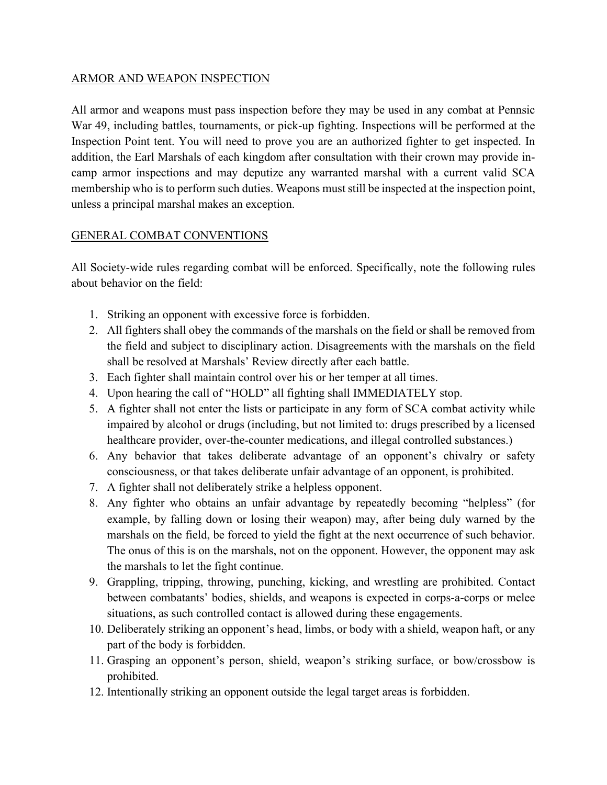### ARMOR AND WEAPON INSPECTION

All armor and weapons must pass inspection before they may be used in any combat at Pennsic War 49, including battles, tournaments, or pick-up fighting. Inspections will be performed at the Inspection Point tent. You will need to prove you are an authorized fighter to get inspected. In addition, the Earl Marshals of each kingdom after consultation with their crown may provide incamp armor inspections and may deputize any warranted marshal with a current valid SCA membership who is to perform such duties. Weapons must still be inspected at the inspection point, unless a principal marshal makes an exception.

## GENERAL COMBAT CONVENTIONS

All Society-wide rules regarding combat will be enforced. Specifically, note the following rules about behavior on the field:

- 1. Striking an opponent with excessive force is forbidden.
- 2. All fighters shall obey the commands of the marshals on the field or shall be removed from the field and subject to disciplinary action. Disagreements with the marshals on the field shall be resolved at Marshals' Review directly after each battle.
- 3. Each fighter shall maintain control over his or her temper at all times.
- 4. Upon hearing the call of "HOLD" all fighting shall IMMEDIATELY stop.
- 5. A fighter shall not enter the lists or participate in any form of SCA combat activity while impaired by alcohol or drugs (including, but not limited to: drugs prescribed by a licensed healthcare provider, over-the-counter medications, and illegal controlled substances.)
- 6. Any behavior that takes deliberate advantage of an opponent's chivalry or safety consciousness, or that takes deliberate unfair advantage of an opponent, is prohibited.
- 7. A fighter shall not deliberately strike a helpless opponent.
- 8. Any fighter who obtains an unfair advantage by repeatedly becoming "helpless" (for example, by falling down or losing their weapon) may, after being duly warned by the marshals on the field, be forced to yield the fight at the next occurrence of such behavior. The onus of this is on the marshals, not on the opponent. However, the opponent may ask the marshals to let the fight continue.
- 9. Grappling, tripping, throwing, punching, kicking, and wrestling are prohibited. Contact between combatants' bodies, shields, and weapons is expected in corps-a-corps or melee situations, as such controlled contact is allowed during these engagements.
- 10. Deliberately striking an opponent's head, limbs, or body with a shield, weapon haft, or any part of the body is forbidden.
- 11. Grasping an opponent's person, shield, weapon's striking surface, or bow/crossbow is prohibited.
- 12. Intentionally striking an opponent outside the legal target areas is forbidden.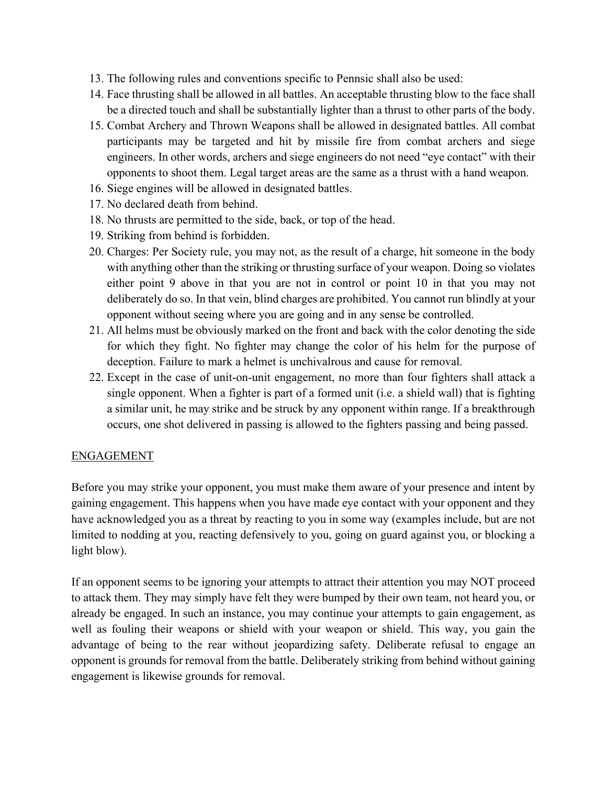- 13. The following rules and conventions specific to Pennsic shall also be used:
- 14. Face thrusting shall be allowed in all battles. An acceptable thrusting blow to the face shall be a directed touch and shall be substantially lighter than a thrust to other parts of the body.
- 15. Combat Archery and Thrown Weapons shall be allowed in designated battles. All combat participants may be targeted and hit by missile fire from combat archers and siege engineers. In other words, archers and siege engineers do not need "eye contact" with their opponents to shoot them. Legal target areas are the same as a thrust with a hand weapon.
- 16. Siege engines will be allowed in designated battles.
- 17. No declared death from behind.
- 18. No thrusts are permitted to the side, back, or top of the head.
- 19. Striking from behind is forbidden.
- 20. Charges: Per Society rule, you may not, as the result of a charge, hit someone in the body with anything other than the striking or thrusting surface of your weapon. Doing so violates either point 9 above in that you are not in control or point 10 in that you may not deliberately do so. In that vein, blind charges are prohibited. You cannot run blindly at your opponent without seeing where you are going and in any sense be controlled.
- 21. All helms must be obviously marked on the front and back with the color denoting the side for which they fight. No fighter may change the color of his helm for the purpose of deception. Failure to mark a helmet is unchivalrous and cause for removal.
- 22. Except in the case of unit-on-unit engagement, no more than four fighters shall attack a single opponent. When a fighter is part of a formed unit (i.e. a shield wall) that is fighting a similar unit, he may strike and be struck by any opponent within range. If a breakthrough occurs, one shot delivered in passing is allowed to the fighters passing and being passed.

#### ENGAGEMENT

Before you may strike your opponent, you must make them aware of your presence and intent by gaining engagement. This happens when you have made eye contact with your opponent and they have acknowledged you as a threat by reacting to you in some way (examples include, but are not limited to nodding at you, reacting defensively to you, going on guard against you, or blocking a light blow).

If an opponent seems to be ignoring your attempts to attract their attention you may NOT proceed to attack them. They may simply have felt they were bumped by their own team, not heard you, or already be engaged. In such an instance, you may continue your attempts to gain engagement, as well as fouling their weapons or shield with your weapon or shield. This way, you gain the advantage of being to the rear without jeopardizing safety. Deliberate refusal to engage an opponent is grounds for removal from the battle. Deliberately striking from behind without gaining engagement is likewise grounds for removal.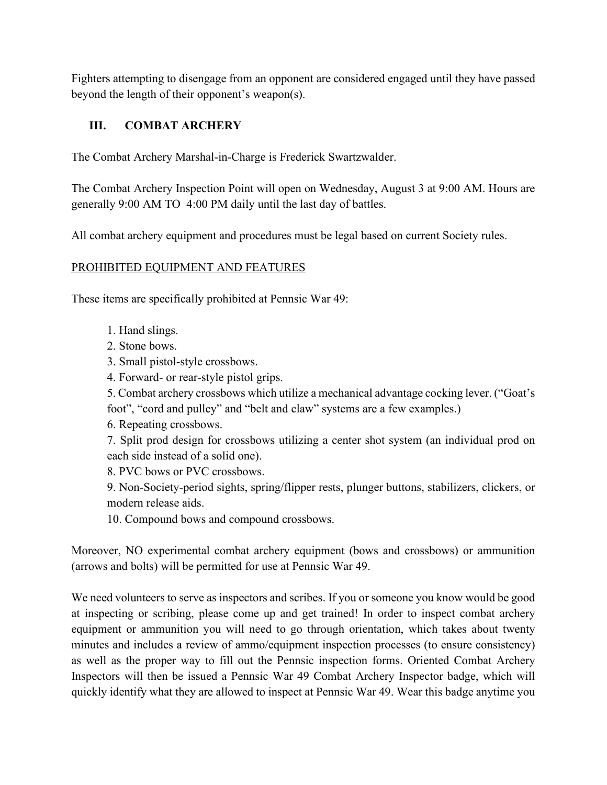Fighters attempting to disengage from an opponent are considered engaged until they have passed beyond the length of their opponent's weapon(s).

# **III. COMBAT ARCHERY**

The Combat Archery Marshal-in-Charge is Frederick Swartzwalder.

The Combat Archery Inspection Point will open on Wednesday, August 3 at 9:00 AM. Hours are generally 9:00 AM TO 4:00 PM daily until the last day of battles.

All combat archery equipment and procedures must be legal based on current Society rules.

## PROHIBITED EQUIPMENT AND FEATURES

These items are specifically prohibited at Pennsic War 49:

- 1. Hand slings.
- 2. Stone bows.
- 3. Small pistol-style crossbows.
- 4. Forward- or rear-style pistol grips.

5. Combat archery crossbows which utilize a mechanical advantage cocking lever. ("Goat's foot", "cord and pulley" and "belt and claw" systems are a few examples.)

6. Repeating crossbows.

7. Split prod design for crossbows utilizing a center shot system (an individual prod on each side instead of a solid one).

8. PVC bows or PVC crossbows.

9. Non-Society-period sights, spring/flipper rests, plunger buttons, stabilizers, clickers, or modern release aids.

10. Compound bows and compound crossbows.

Moreover, NO experimental combat archery equipment (bows and crossbows) or ammunition (arrows and bolts) will be permitted for use at Pennsic War 49.

We need volunteers to serve as inspectors and scribes. If you or someone you know would be good at inspecting or scribing, please come up and get trained! In order to inspect combat archery equipment or ammunition you will need to go through orientation, which takes about twenty minutes and includes a review of ammo/equipment inspection processes (to ensure consistency) as well as the proper way to fill out the Pennsic inspection forms. Oriented Combat Archery Inspectors will then be issued a Pennsic War 49 Combat Archery Inspector badge, which will quickly identify what they are allowed to inspect at Pennsic War 49. Wear this badge anytime you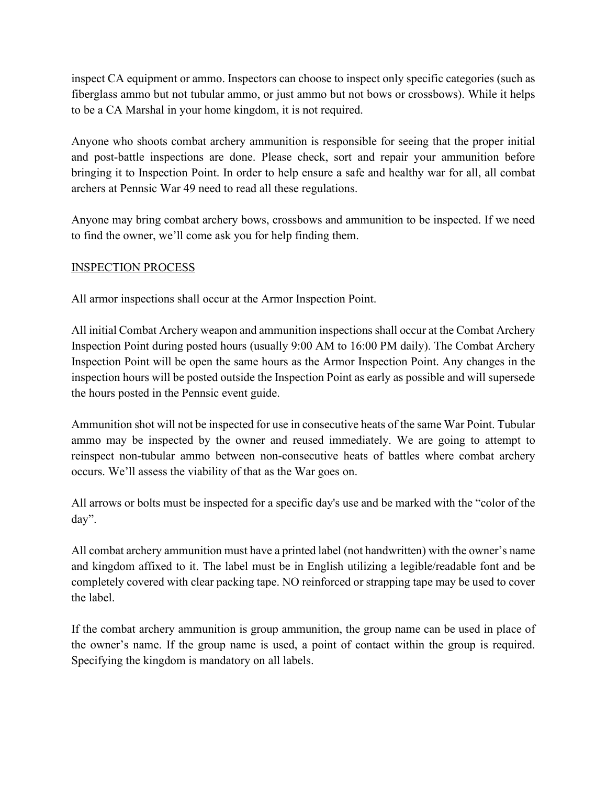inspect CA equipment or ammo. Inspectors can choose to inspect only specific categories (such as fiberglass ammo but not tubular ammo, or just ammo but not bows or crossbows). While it helps to be a CA Marshal in your home kingdom, it is not required.

Anyone who shoots combat archery ammunition is responsible for seeing that the proper initial and post-battle inspections are done. Please check, sort and repair your ammunition before bringing it to Inspection Point. In order to help ensure a safe and healthy war for all, all combat archers at Pennsic War 49 need to read all these regulations.

Anyone may bring combat archery bows, crossbows and ammunition to be inspected. If we need to find the owner, we'll come ask you for help finding them.

## INSPECTION PROCESS

All armor inspections shall occur at the Armor Inspection Point.

All initial Combat Archery weapon and ammunition inspections shall occur at the Combat Archery Inspection Point during posted hours (usually 9:00 AM to 16:00 PM daily). The Combat Archery Inspection Point will be open the same hours as the Armor Inspection Point. Any changes in the inspection hours will be posted outside the Inspection Point as early as possible and will supersede the hours posted in the Pennsic event guide.

Ammunition shot will not be inspected for use in consecutive heats of the same War Point. Tubular ammo may be inspected by the owner and reused immediately. We are going to attempt to reinspect non-tubular ammo between non-consecutive heats of battles where combat archery occurs. We'll assess the viability of that as the War goes on.

All arrows or bolts must be inspected for a specific day's use and be marked with the "color of the day".

All combat archery ammunition must have a printed label (not handwritten) with the owner's name and kingdom affixed to it. The label must be in English utilizing a legible/readable font and be completely covered with clear packing tape. NO reinforced or strapping tape may be used to cover the label.

If the combat archery ammunition is group ammunition, the group name can be used in place of the owner's name. If the group name is used, a point of contact within the group is required. Specifying the kingdom is mandatory on all labels.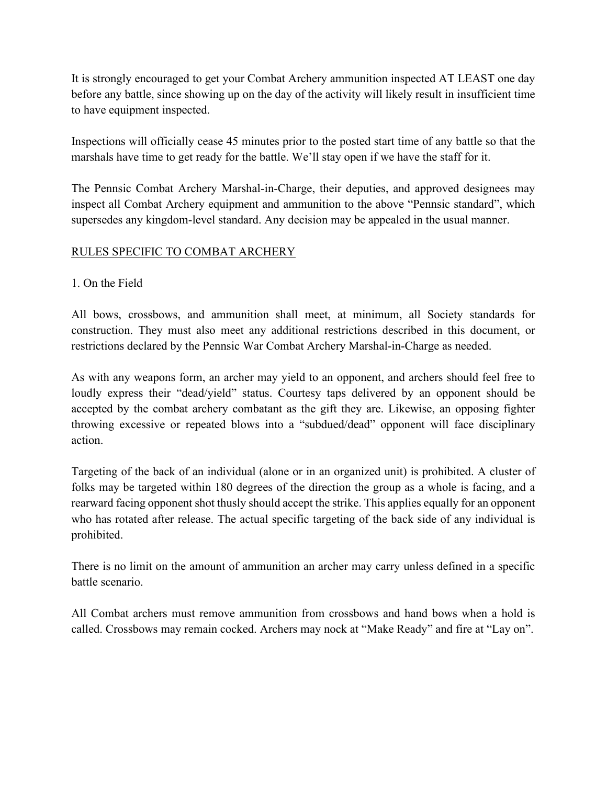It is strongly encouraged to get your Combat Archery ammunition inspected AT LEAST one day before any battle, since showing up on the day of the activity will likely result in insufficient time to have equipment inspected.

Inspections will officially cease 45 minutes prior to the posted start time of any battle so that the marshals have time to get ready for the battle. We'll stay open if we have the staff for it.

The Pennsic Combat Archery Marshal-in-Charge, their deputies, and approved designees may inspect all Combat Archery equipment and ammunition to the above "Pennsic standard", which supersedes any kingdom-level standard. Any decision may be appealed in the usual manner.

## RULES SPECIFIC TO COMBAT ARCHERY

## 1. On the Field

All bows, crossbows, and ammunition shall meet, at minimum, all Society standards for construction. They must also meet any additional restrictions described in this document, or restrictions declared by the Pennsic War Combat Archery Marshal-in-Charge as needed.

As with any weapons form, an archer may yield to an opponent, and archers should feel free to loudly express their "dead/yield" status. Courtesy taps delivered by an opponent should be accepted by the combat archery combatant as the gift they are. Likewise, an opposing fighter throwing excessive or repeated blows into a "subdued/dead" opponent will face disciplinary action.

Targeting of the back of an individual (alone or in an organized unit) is prohibited. A cluster of folks may be targeted within 180 degrees of the direction the group as a whole is facing, and a rearward facing opponent shot thusly should accept the strike. This applies equally for an opponent who has rotated after release. The actual specific targeting of the back side of any individual is prohibited.

There is no limit on the amount of ammunition an archer may carry unless defined in a specific battle scenario.

All Combat archers must remove ammunition from crossbows and hand bows when a hold is called. Crossbows may remain cocked. Archers may nock at "Make Ready" and fire at "Lay on".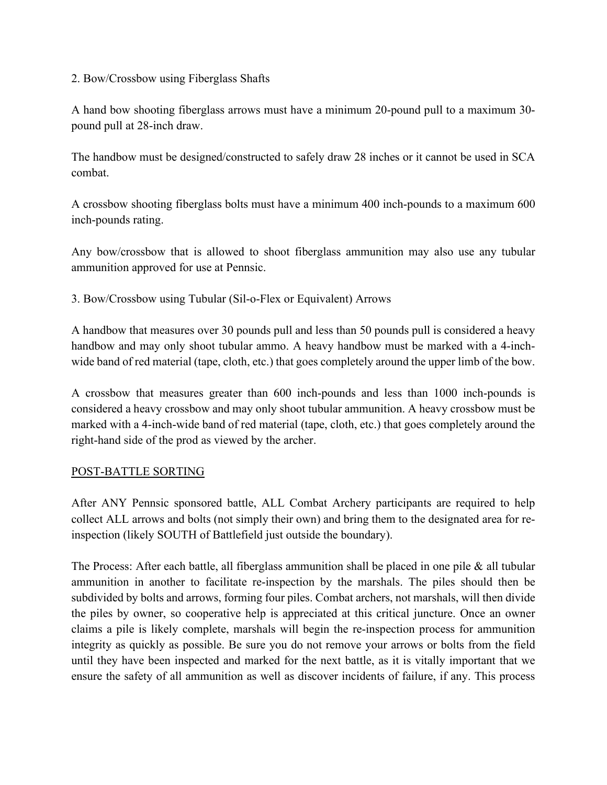### 2. Bow/Crossbow using Fiberglass Shafts

A hand bow shooting fiberglass arrows must have a minimum 20-pound pull to a maximum 30 pound pull at 28-inch draw.

The handbow must be designed/constructed to safely draw 28 inches or it cannot be used in SCA combat.

A crossbow shooting fiberglass bolts must have a minimum 400 inch-pounds to a maximum 600 inch-pounds rating.

Any bow/crossbow that is allowed to shoot fiberglass ammunition may also use any tubular ammunition approved for use at Pennsic.

3. Bow/Crossbow using Tubular (Sil-o-Flex or Equivalent) Arrows

A handbow that measures over 30 pounds pull and less than 50 pounds pull is considered a heavy handbow and may only shoot tubular ammo. A heavy handbow must be marked with a 4-inchwide band of red material (tape, cloth, etc.) that goes completely around the upper limb of the bow.

A crossbow that measures greater than 600 inch-pounds and less than 1000 inch-pounds is considered a heavy crossbow and may only shoot tubular ammunition. A heavy crossbow must be marked with a 4-inch-wide band of red material (tape, cloth, etc.) that goes completely around the right-hand side of the prod as viewed by the archer.

## POST-BATTLE SORTING

After ANY Pennsic sponsored battle, ALL Combat Archery participants are required to help collect ALL arrows and bolts (not simply their own) and bring them to the designated area for reinspection (likely SOUTH of Battlefield just outside the boundary).

The Process: After each battle, all fiberglass ammunition shall be placed in one pile & all tubular ammunition in another to facilitate re-inspection by the marshals. The piles should then be subdivided by bolts and arrows, forming four piles. Combat archers, not marshals, will then divide the piles by owner, so cooperative help is appreciated at this critical juncture. Once an owner claims a pile is likely complete, marshals will begin the re-inspection process for ammunition integrity as quickly as possible. Be sure you do not remove your arrows or bolts from the field until they have been inspected and marked for the next battle, as it is vitally important that we ensure the safety of all ammunition as well as discover incidents of failure, if any. This process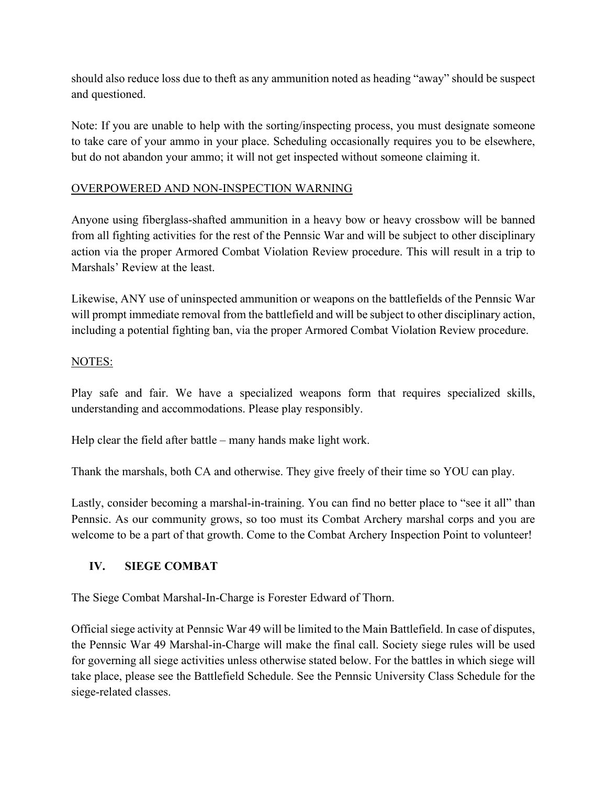should also reduce loss due to theft as any ammunition noted as heading "away" should be suspect and questioned.

Note: If you are unable to help with the sorting/inspecting process, you must designate someone to take care of your ammo in your place. Scheduling occasionally requires you to be elsewhere, but do not abandon your ammo; it will not get inspected without someone claiming it.

## OVERPOWERED AND NON-INSPECTION WARNING

Anyone using fiberglass-shafted ammunition in a heavy bow or heavy crossbow will be banned from all fighting activities for the rest of the Pennsic War and will be subject to other disciplinary action via the proper Armored Combat Violation Review procedure. This will result in a trip to Marshals' Review at the least.

Likewise, ANY use of uninspected ammunition or weapons on the battlefields of the Pennsic War will prompt immediate removal from the battlefield and will be subject to other disciplinary action, including a potential fighting ban, via the proper Armored Combat Violation Review procedure.

## NOTES:

Play safe and fair. We have a specialized weapons form that requires specialized skills, understanding and accommodations. Please play responsibly.

Help clear the field after battle – many hands make light work.

Thank the marshals, both CA and otherwise. They give freely of their time so YOU can play.

Lastly, consider becoming a marshal-in-training. You can find no better place to "see it all" than Pennsic. As our community grows, so too must its Combat Archery marshal corps and you are welcome to be a part of that growth. Come to the Combat Archery Inspection Point to volunteer!

# **IV. SIEGE COMBAT**

The Siege Combat Marshal-In-Charge is Forester Edward of Thorn.

Official siege activity at Pennsic War 49 will be limited to the Main Battlefield. In case of disputes, the Pennsic War 49 Marshal-in-Charge will make the final call. Society siege rules will be used for governing all siege activities unless otherwise stated below. For the battles in which siege will take place, please see the Battlefield Schedule. See the Pennsic University Class Schedule for the siege-related classes.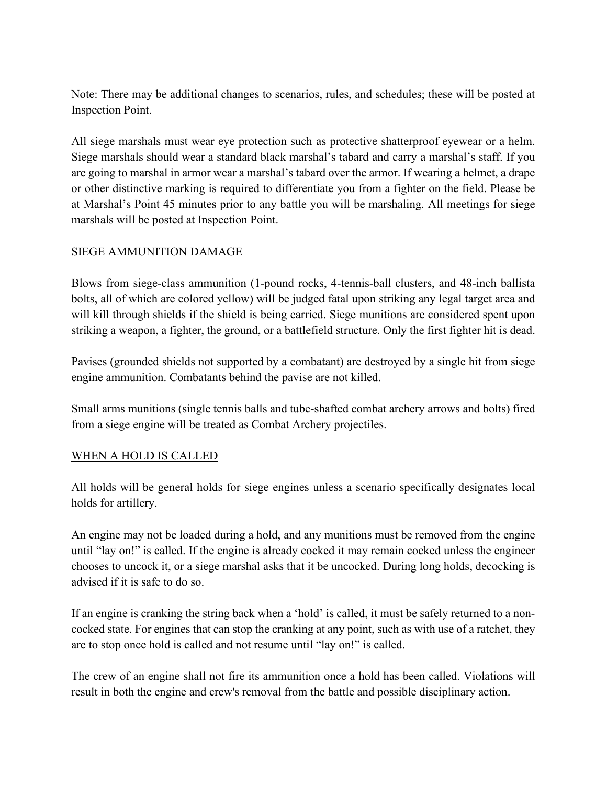Note: There may be additional changes to scenarios, rules, and schedules; these will be posted at Inspection Point.

All siege marshals must wear eye protection such as protective shatterproof eyewear or a helm. Siege marshals should wear a standard black marshal's tabard and carry a marshal's staff. If you are going to marshal in armor wear a marshal's tabard over the armor. If wearing a helmet, a drape or other distinctive marking is required to differentiate you from a fighter on the field. Please be at Marshal's Point 45 minutes prior to any battle you will be marshaling. All meetings for siege marshals will be posted at Inspection Point.

## SIEGE AMMUNITION DAMAGE

Blows from siege-class ammunition (1-pound rocks, 4-tennis-ball clusters, and 48-inch ballista bolts, all of which are colored yellow) will be judged fatal upon striking any legal target area and will kill through shields if the shield is being carried. Siege munitions are considered spent upon striking a weapon, a fighter, the ground, or a battlefield structure. Only the first fighter hit is dead.

Pavises (grounded shields not supported by a combatant) are destroyed by a single hit from siege engine ammunition. Combatants behind the pavise are not killed.

Small arms munitions (single tennis balls and tube-shafted combat archery arrows and bolts) fired from a siege engine will be treated as Combat Archery projectiles.

# WHEN A HOLD IS CALLED

All holds will be general holds for siege engines unless a scenario specifically designates local holds for artillery.

An engine may not be loaded during a hold, and any munitions must be removed from the engine until "lay on!" is called. If the engine is already cocked it may remain cocked unless the engineer chooses to uncock it, or a siege marshal asks that it be uncocked. During long holds, decocking is advised if it is safe to do so.

If an engine is cranking the string back when a 'hold' is called, it must be safely returned to a noncocked state. For engines that can stop the cranking at any point, such as with use of a ratchet, they are to stop once hold is called and not resume until "lay on!" is called.

The crew of an engine shall not fire its ammunition once a hold has been called. Violations will result in both the engine and crew's removal from the battle and possible disciplinary action.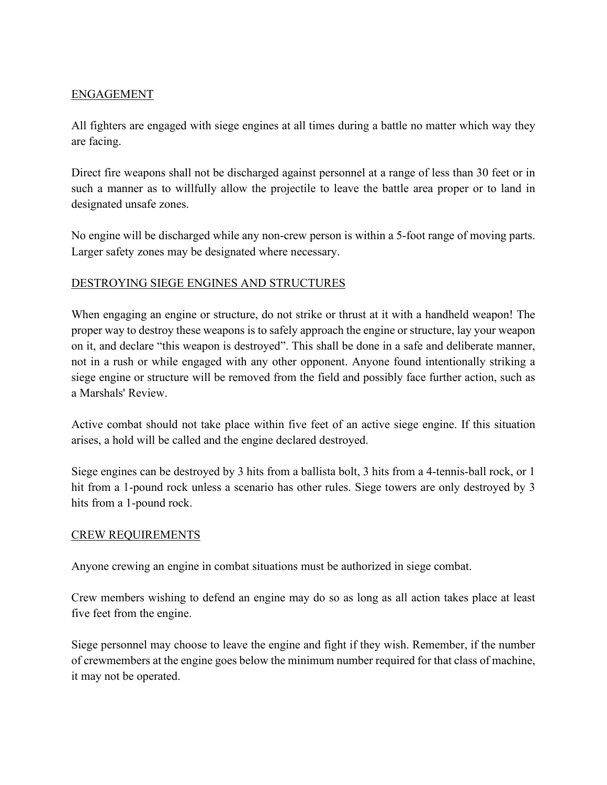## ENGAGEMENT

All fighters are engaged with siege engines at all times during a battle no matter which way they are facing.

Direct fire weapons shall not be discharged against personnel at a range of less than 30 feet or in such a manner as to willfully allow the projectile to leave the battle area proper or to land in designated unsafe zones.

No engine will be discharged while any non-crew person is within a 5-foot range of moving parts. Larger safety zones may be designated where necessary.

## DESTROYING SIEGE ENGINES AND STRUCTURES

When engaging an engine or structure, do not strike or thrust at it with a handheld weapon! The proper way to destroy these weapons is to safely approach the engine or structure, lay your weapon on it, and declare "this weapon is destroyed". This shall be done in a safe and deliberate manner, not in a rush or while engaged with any other opponent. Anyone found intentionally striking a siege engine or structure will be removed from the field and possibly face further action, such as a Marshals' Review.

Active combat should not take place within five feet of an active siege engine. If this situation arises, a hold will be called and the engine declared destroyed.

Siege engines can be destroyed by 3 hits from a ballista bolt, 3 hits from a 4-tennis-ball rock, or 1 hit from a 1-pound rock unless a scenario has other rules. Siege towers are only destroyed by 3 hits from a 1-pound rock.

## CREW REQUIREMENTS

Anyone crewing an engine in combat situations must be authorized in siege combat.

Crew members wishing to defend an engine may do so as long as all action takes place at least five feet from the engine.

Siege personnel may choose to leave the engine and fight if they wish. Remember, if the number of crewmembers at the engine goes below the minimum number required for that class of machine, it may not be operated.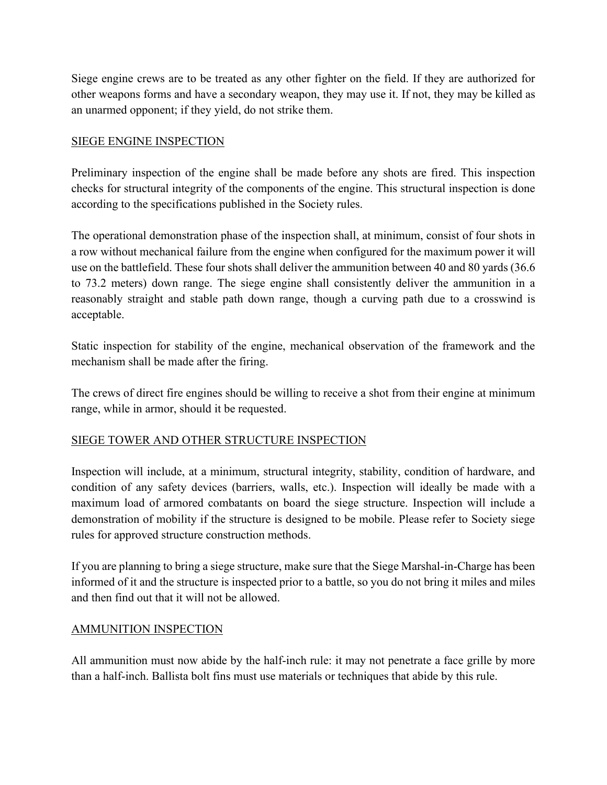Siege engine crews are to be treated as any other fighter on the field. If they are authorized for other weapons forms and have a secondary weapon, they may use it. If not, they may be killed as an unarmed opponent; if they yield, do not strike them.

## SIEGE ENGINE INSPECTION

Preliminary inspection of the engine shall be made before any shots are fired. This inspection checks for structural integrity of the components of the engine. This structural inspection is done according to the specifications published in the Society rules.

The operational demonstration phase of the inspection shall, at minimum, consist of four shots in a row without mechanical failure from the engine when configured for the maximum power it will use on the battlefield. These four shots shall deliver the ammunition between 40 and 80 yards (36.6 to 73.2 meters) down range. The siege engine shall consistently deliver the ammunition in a reasonably straight and stable path down range, though a curving path due to a crosswind is acceptable.

Static inspection for stability of the engine, mechanical observation of the framework and the mechanism shall be made after the firing.

The crews of direct fire engines should be willing to receive a shot from their engine at minimum range, while in armor, should it be requested.

# SIEGE TOWER AND OTHER STRUCTURE INSPECTION

Inspection will include, at a minimum, structural integrity, stability, condition of hardware, and condition of any safety devices (barriers, walls, etc.). Inspection will ideally be made with a maximum load of armored combatants on board the siege structure. Inspection will include a demonstration of mobility if the structure is designed to be mobile. Please refer to Society siege rules for approved structure construction methods.

If you are planning to bring a siege structure, make sure that the Siege Marshal-in-Charge has been informed of it and the structure is inspected prior to a battle, so you do not bring it miles and miles and then find out that it will not be allowed.

## AMMUNITION INSPECTION

All ammunition must now abide by the half-inch rule: it may not penetrate a face grille by more than a half-inch. Ballista bolt fins must use materials or techniques that abide by this rule.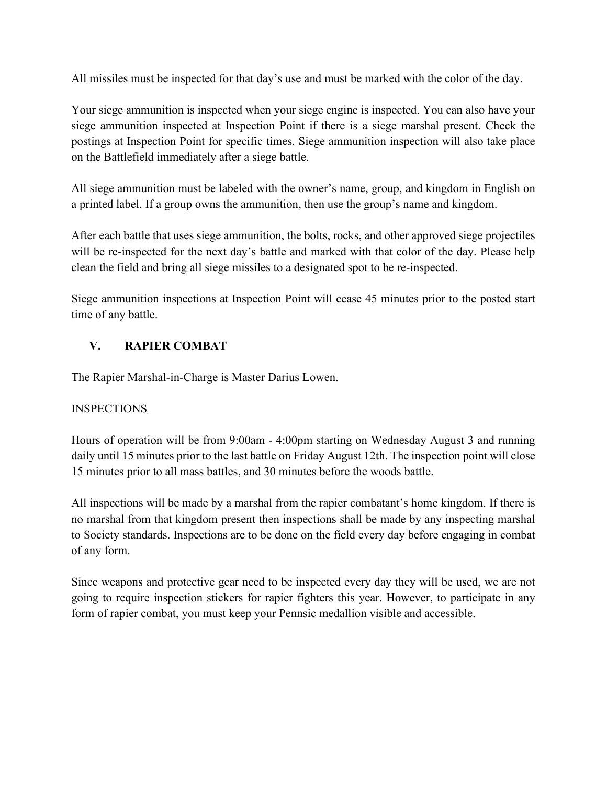All missiles must be inspected for that day's use and must be marked with the color of the day.

Your siege ammunition is inspected when your siege engine is inspected. You can also have your siege ammunition inspected at Inspection Point if there is a siege marshal present. Check the postings at Inspection Point for specific times. Siege ammunition inspection will also take place on the Battlefield immediately after a siege battle.

All siege ammunition must be labeled with the owner's name, group, and kingdom in English on a printed label. If a group owns the ammunition, then use the group's name and kingdom.

After each battle that uses siege ammunition, the bolts, rocks, and other approved siege projectiles will be re-inspected for the next day's battle and marked with that color of the day. Please help clean the field and bring all siege missiles to a designated spot to be re-inspected.

Siege ammunition inspections at Inspection Point will cease 45 minutes prior to the posted start time of any battle.

# **V. RAPIER COMBAT**

The Rapier Marshal-in-Charge is Master Darius Lowen.

# **INSPECTIONS**

Hours of operation will be from 9:00am - 4:00pm starting on Wednesday August 3 and running daily until 15 minutes prior to the last battle on Friday August 12th. The inspection point will close 15 minutes prior to all mass battles, and 30 minutes before the woods battle.

All inspections will be made by a marshal from the rapier combatant's home kingdom. If there is no marshal from that kingdom present then inspections shall be made by any inspecting marshal to Society standards. Inspections are to be done on the field every day before engaging in combat of any form.

Since weapons and protective gear need to be inspected every day they will be used, we are not going to require inspection stickers for rapier fighters this year. However, to participate in any form of rapier combat, you must keep your Pennsic medallion visible and accessible.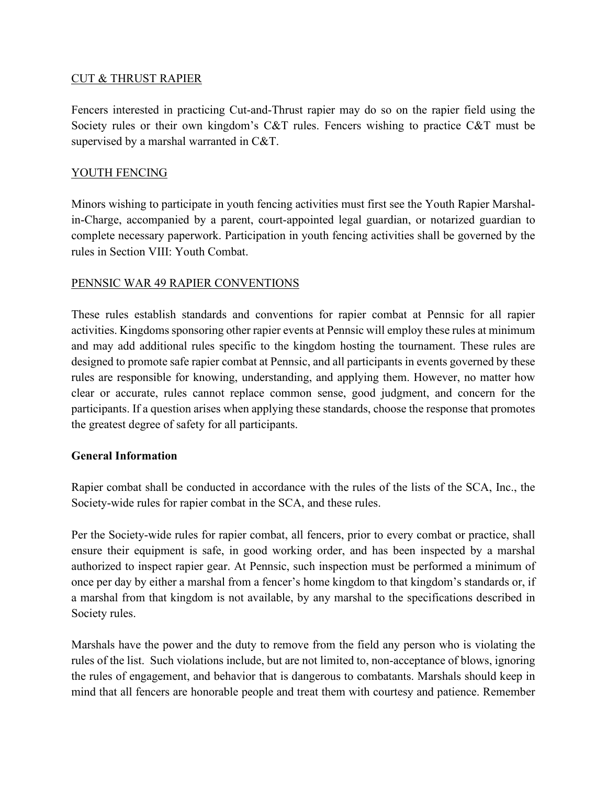### CUT & THRUST RAPIER

Fencers interested in practicing Cut-and-Thrust rapier may do so on the rapier field using the Society rules or their own kingdom's C&T rules. Fencers wishing to practice C&T must be supervised by a marshal warranted in C&T.

## YOUTH FENCING

Minors wishing to participate in youth fencing activities must first see the Youth Rapier Marshalin-Charge, accompanied by a parent, court-appointed legal guardian, or notarized guardian to complete necessary paperwork. Participation in youth fencing activities shall be governed by the rules in Section VIII: Youth Combat.

### PENNSIC WAR 49 RAPIER CONVENTIONS

These rules establish standards and conventions for rapier combat at Pennsic for all rapier activities. Kingdoms sponsoring other rapier events at Pennsic will employ these rules at minimum and may add additional rules specific to the kingdom hosting the tournament. These rules are designed to promote safe rapier combat at Pennsic, and all participants in events governed by these rules are responsible for knowing, understanding, and applying them. However, no matter how clear or accurate, rules cannot replace common sense, good judgment, and concern for the participants. If a question arises when applying these standards, choose the response that promotes the greatest degree of safety for all participants.

#### **General Information**

Rapier combat shall be conducted in accordance with the rules of the lists of the SCA, Inc., the Society-wide rules for rapier combat in the SCA, and these rules.

Per the Society-wide rules for rapier combat, all fencers, prior to every combat or practice, shall ensure their equipment is safe, in good working order, and has been inspected by a marshal authorized to inspect rapier gear. At Pennsic, such inspection must be performed a minimum of once per day by either a marshal from a fencer's home kingdom to that kingdom's standards or, if a marshal from that kingdom is not available, by any marshal to the specifications described in Society rules.

Marshals have the power and the duty to remove from the field any person who is violating the rules of the list. Such violations include, but are not limited to, non-acceptance of blows, ignoring the rules of engagement, and behavior that is dangerous to combatants. Marshals should keep in mind that all fencers are honorable people and treat them with courtesy and patience. Remember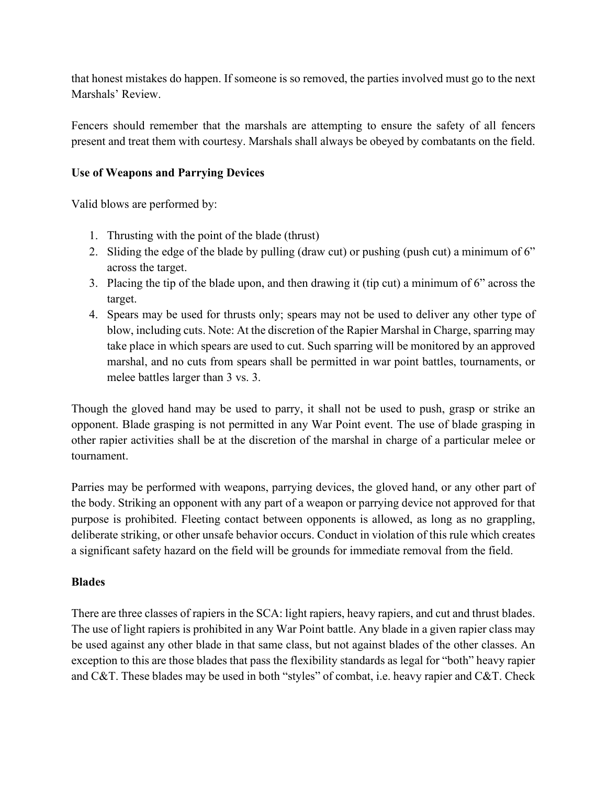that honest mistakes do happen. If someone is so removed, the parties involved must go to the next Marshals' Review.

Fencers should remember that the marshals are attempting to ensure the safety of all fencers present and treat them with courtesy. Marshals shall always be obeyed by combatants on the field.

## **Use of Weapons and Parrying Devices**

Valid blows are performed by:

- 1. Thrusting with the point of the blade (thrust)
- 2. Sliding the edge of the blade by pulling (draw cut) or pushing (push cut) a minimum of 6" across the target.
- 3. Placing the tip of the blade upon, and then drawing it (tip cut) a minimum of 6" across the target.
- 4. Spears may be used for thrusts only; spears may not be used to deliver any other type of blow, including cuts. Note: At the discretion of the Rapier Marshal in Charge, sparring may take place in which spears are used to cut. Such sparring will be monitored by an approved marshal, and no cuts from spears shall be permitted in war point battles, tournaments, or melee battles larger than 3 vs. 3.

Though the gloved hand may be used to parry, it shall not be used to push, grasp or strike an opponent. Blade grasping is not permitted in any War Point event. The use of blade grasping in other rapier activities shall be at the discretion of the marshal in charge of a particular melee or tournament.

Parries may be performed with weapons, parrying devices, the gloved hand, or any other part of the body. Striking an opponent with any part of a weapon or parrying device not approved for that purpose is prohibited. Fleeting contact between opponents is allowed, as long as no grappling, deliberate striking, or other unsafe behavior occurs. Conduct in violation of this rule which creates a significant safety hazard on the field will be grounds for immediate removal from the field.

## **Blades**

There are three classes of rapiers in the SCA: light rapiers, heavy rapiers, and cut and thrust blades. The use of light rapiers is prohibited in any War Point battle. Any blade in a given rapier class may be used against any other blade in that same class, but not against blades of the other classes. An exception to this are those blades that pass the flexibility standards as legal for "both" heavy rapier and C&T. These blades may be used in both "styles" of combat, i.e. heavy rapier and C&T. Check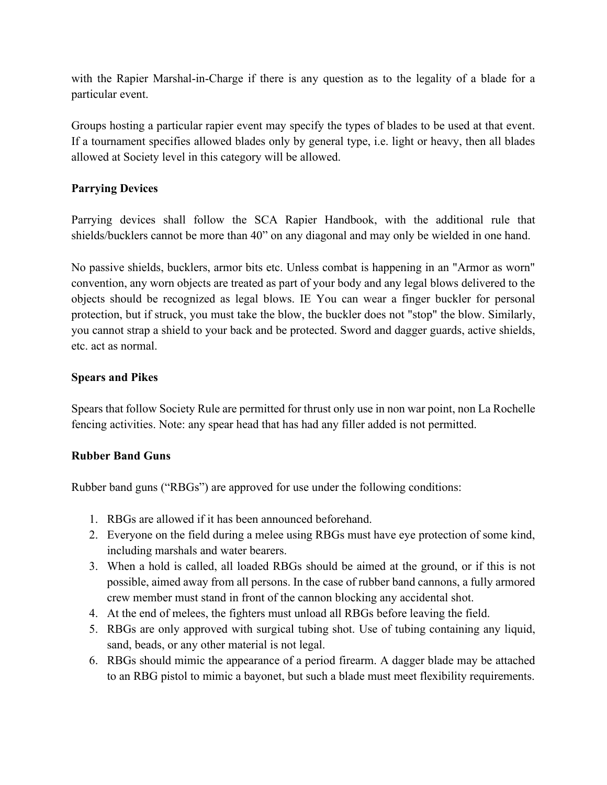with the Rapier Marshal-in-Charge if there is any question as to the legality of a blade for a particular event.

Groups hosting a particular rapier event may specify the types of blades to be used at that event. If a tournament specifies allowed blades only by general type, i.e. light or heavy, then all blades allowed at Society level in this category will be allowed.

## **Parrying Devices**

Parrying devices shall follow the SCA Rapier Handbook, with the additional rule that shields/bucklers cannot be more than 40" on any diagonal and may only be wielded in one hand.

No passive shields, bucklers, armor bits etc. Unless combat is happening in an "Armor as worn" convention, any worn objects are treated as part of your body and any legal blows delivered to the objects should be recognized as legal blows. IE You can wear a finger buckler for personal protection, but if struck, you must take the blow, the buckler does not "stop" the blow. Similarly, you cannot strap a shield to your back and be protected. Sword and dagger guards, active shields, etc. act as normal.

## **Spears and Pikes**

Spears that follow Society Rule are permitted for thrust only use in non war point, non La Rochelle fencing activities. Note: any spear head that has had any filler added is not permitted.

## **Rubber Band Guns**

Rubber band guns ("RBGs") are approved for use under the following conditions:

- 1. RBGs are allowed if it has been announced beforehand.
- 2. Everyone on the field during a melee using RBGs must have eye protection of some kind, including marshals and water bearers.
- 3. When a hold is called, all loaded RBGs should be aimed at the ground, or if this is not possible, aimed away from all persons. In the case of rubber band cannons, a fully armored crew member must stand in front of the cannon blocking any accidental shot.
- 4. At the end of melees, the fighters must unload all RBGs before leaving the field.
- 5. RBGs are only approved with surgical tubing shot. Use of tubing containing any liquid, sand, beads, or any other material is not legal.
- 6. RBGs should mimic the appearance of a period firearm. A dagger blade may be attached to an RBG pistol to mimic a bayonet, but such a blade must meet flexibility requirements.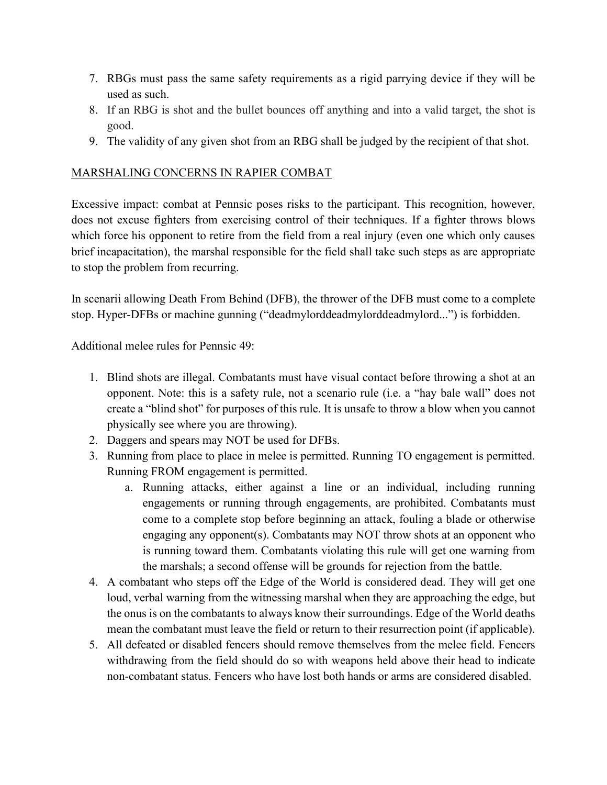- 7. RBGs must pass the same safety requirements as a rigid parrying device if they will be used as such.
- 8. If an RBG is shot and the bullet bounces off anything and into a valid target, the shot is good.
- 9. The validity of any given shot from an RBG shall be judged by the recipient of that shot.

## MARSHALING CONCERNS IN RAPIER COMBAT

Excessive impact: combat at Pennsic poses risks to the participant. This recognition, however, does not excuse fighters from exercising control of their techniques. If a fighter throws blows which force his opponent to retire from the field from a real injury (even one which only causes brief incapacitation), the marshal responsible for the field shall take such steps as are appropriate to stop the problem from recurring.

In scenarii allowing Death From Behind (DFB), the thrower of the DFB must come to a complete stop. Hyper-DFBs or machine gunning ("deadmylorddeadmylorddeadmylord...") is forbidden.

Additional melee rules for Pennsic 49:

- 1. Blind shots are illegal. Combatants must have visual contact before throwing a shot at an opponent. Note: this is a safety rule, not a scenario rule (i.e. a "hay bale wall" does not create a "blind shot" for purposes of this rule. It is unsafe to throw a blow when you cannot physically see where you are throwing).
- 2. Daggers and spears may NOT be used for DFBs.
- 3. Running from place to place in melee is permitted. Running TO engagement is permitted. Running FROM engagement is permitted.
	- a. Running attacks, either against a line or an individual, including running engagements or running through engagements, are prohibited. Combatants must come to a complete stop before beginning an attack, fouling a blade or otherwise engaging any opponent(s). Combatants may NOT throw shots at an opponent who is running toward them. Combatants violating this rule will get one warning from the marshals; a second offense will be grounds for rejection from the battle.
- 4. A combatant who steps off the Edge of the World is considered dead. They will get one loud, verbal warning from the witnessing marshal when they are approaching the edge, but the onus is on the combatants to always know their surroundings. Edge of the World deaths mean the combatant must leave the field or return to their resurrection point (if applicable).
- 5. All defeated or disabled fencers should remove themselves from the melee field. Fencers withdrawing from the field should do so with weapons held above their head to indicate non-combatant status. Fencers who have lost both hands or arms are considered disabled.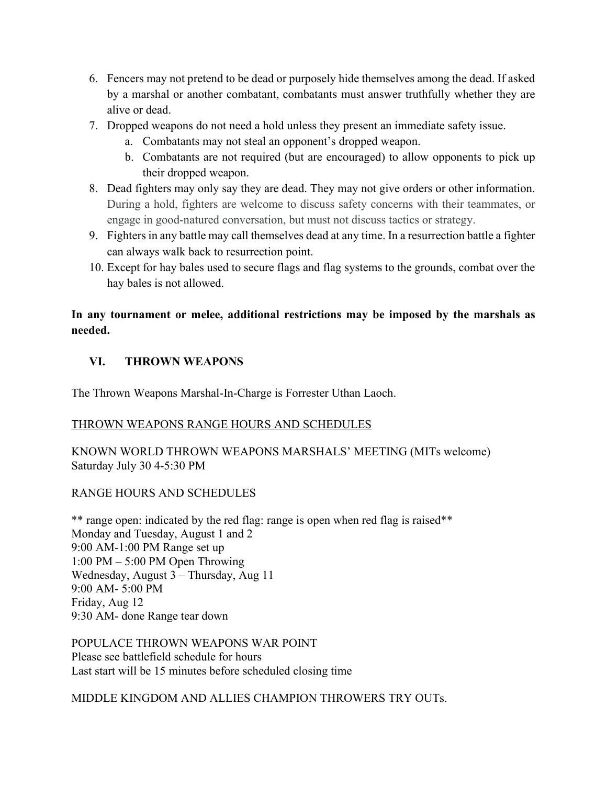- 6. Fencers may not pretend to be dead or purposely hide themselves among the dead. If asked by a marshal or another combatant, combatants must answer truthfully whether they are alive or dead.
- 7. Dropped weapons do not need a hold unless they present an immediate safety issue.
	- a. Combatants may not steal an opponent's dropped weapon.
	- b. Combatants are not required (but are encouraged) to allow opponents to pick up their dropped weapon.
- 8. Dead fighters may only say they are dead. They may not give orders or other information. During a hold, fighters are welcome to discuss safety concerns with their teammates, or engage in good-natured conversation, but must not discuss tactics or strategy.
- 9. Fighters in any battle may call themselves dead at any time. In a resurrection battle a fighter can always walk back to resurrection point.
- 10. Except for hay bales used to secure flags and flag systems to the grounds, combat over the hay bales is not allowed.

# **In any tournament or melee, additional restrictions may be imposed by the marshals as needed.**

## **VI. THROWN WEAPONS**

The Thrown Weapons Marshal-In-Charge is Forrester Uthan Laoch.

## THROWN WEAPONS RANGE HOURS AND SCHEDULES

KNOWN WORLD THROWN WEAPONS MARSHALS' MEETING (MITs welcome) Saturday July 30 4-5:30 PM

## RANGE HOURS AND SCHEDULES

\*\* range open: indicated by the red flag: range is open when red flag is raised\*\* Monday and Tuesday, August 1 and 2 9:00 AM-1:00 PM Range set up 1:00 PM – 5:00 PM Open Throwing Wednesday, August 3 – Thursday, Aug 11 9:00 AM- 5:00 PM Friday, Aug 12 9:30 AM- done Range tear down

POPULACE THROWN WEAPONS WAR POINT Please see battlefield schedule for hours Last start will be 15 minutes before scheduled closing time

MIDDLE KINGDOM AND ALLIES CHAMPION THROWERS TRY OUTs.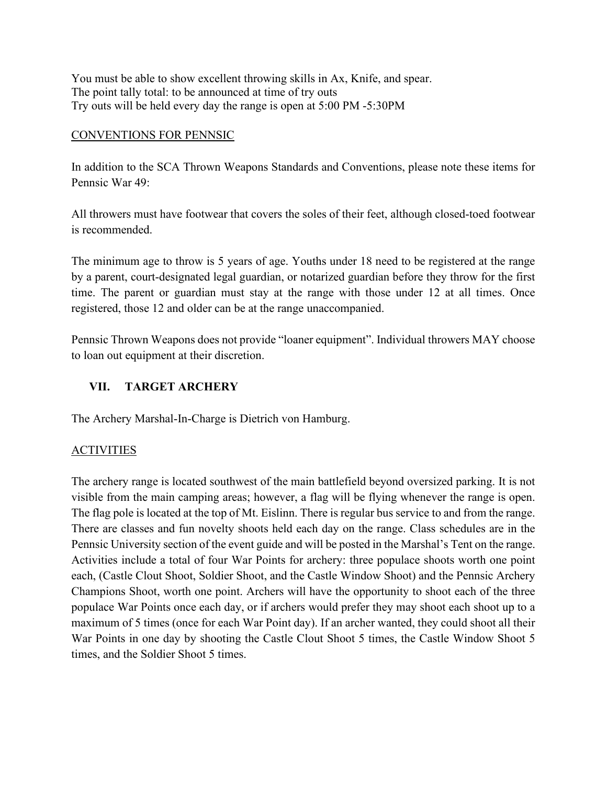You must be able to show excellent throwing skills in Ax, Knife, and spear. The point tally total: to be announced at time of try outs Try outs will be held every day the range is open at 5:00 PM -5:30PM

### CONVENTIONS FOR PENNSIC

In addition to the SCA Thrown Weapons Standards and Conventions, please note these items for Pennsic War 49:

All throwers must have footwear that covers the soles of their feet, although closed-toed footwear is recommended.

The minimum age to throw is 5 years of age. Youths under 18 need to be registered at the range by a parent, court-designated legal guardian, or notarized guardian before they throw for the first time. The parent or guardian must stay at the range with those under 12 at all times. Once registered, those 12 and older can be at the range unaccompanied.

Pennsic Thrown Weapons does not provide "loaner equipment". Individual throwers MAY choose to loan out equipment at their discretion.

# **VII. TARGET ARCHERY**

The Archery Marshal-In-Charge is Dietrich von Hamburg.

# ACTIVITIES

The archery range is located southwest of the main battlefield beyond oversized parking. It is not visible from the main camping areas; however, a flag will be flying whenever the range is open. The flag pole is located at the top of Mt. Eislinn. There is regular bus service to and from the range. There are classes and fun novelty shoots held each day on the range. Class schedules are in the Pennsic University section of the event guide and will be posted in the Marshal's Tent on the range. Activities include a total of four War Points for archery: three populace shoots worth one point each, (Castle Clout Shoot, Soldier Shoot, and the Castle Window Shoot) and the Pennsic Archery Champions Shoot, worth one point. Archers will have the opportunity to shoot each of the three populace War Points once each day, or if archers would prefer they may shoot each shoot up to a maximum of 5 times (once for each War Point day). If an archer wanted, they could shoot all their War Points in one day by shooting the Castle Clout Shoot 5 times, the Castle Window Shoot 5 times, and the Soldier Shoot 5 times.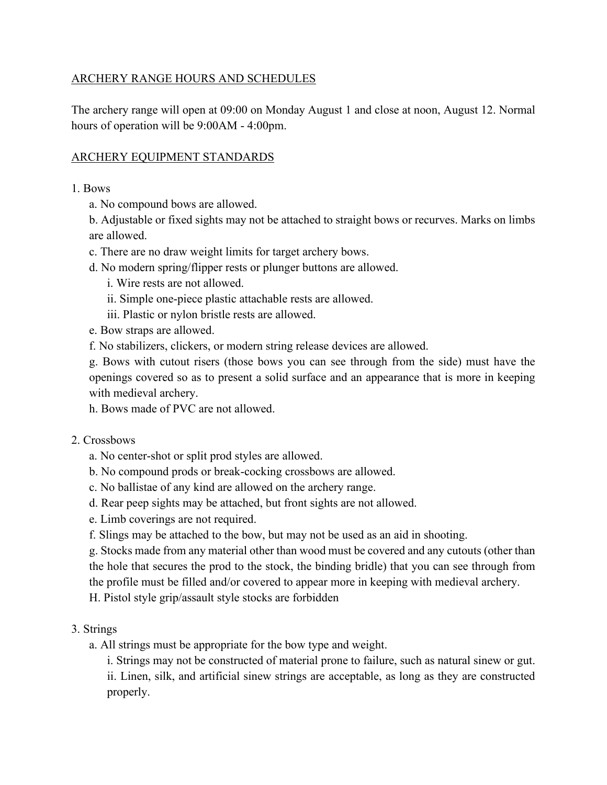## ARCHERY RANGE HOURS AND SCHEDULES

The archery range will open at 09:00 on Monday August 1 and close at noon, August 12. Normal hours of operation will be 9:00AM - 4:00pm.

## ARCHERY EQUIPMENT STANDARDS

1. Bows

a. No compound bows are allowed.

b. Adjustable or fixed sights may not be attached to straight bows or recurves. Marks on limbs are allowed.

- c. There are no draw weight limits for target archery bows.
- d. No modern spring/flipper rests or plunger buttons are allowed.
	- i. Wire rests are not allowed.
	- ii. Simple one-piece plastic attachable rests are allowed.
	- iii. Plastic or nylon bristle rests are allowed.
- e. Bow straps are allowed.

f. No stabilizers, clickers, or modern string release devices are allowed.

g. Bows with cutout risers (those bows you can see through from the side) must have the openings covered so as to present a solid surface and an appearance that is more in keeping with medieval archery.

h. Bows made of PVC are not allowed.

2. Crossbows

- a. No center-shot or split prod styles are allowed.
- b. No compound prods or break-cocking crossbows are allowed.
- c. No ballistae of any kind are allowed on the archery range.
- d. Rear peep sights may be attached, but front sights are not allowed.
- e. Limb coverings are not required.
- f. Slings may be attached to the bow, but may not be used as an aid in shooting.

g. Stocks made from any material other than wood must be covered and any cutouts (other than the hole that secures the prod to the stock, the binding bridle) that you can see through from the profile must be filled and/or covered to appear more in keeping with medieval archery.

H. Pistol style grip/assault style stocks are forbidden

## 3. Strings

a. All strings must be appropriate for the bow type and weight.

i. Strings may not be constructed of material prone to failure, such as natural sinew or gut. ii. Linen, silk, and artificial sinew strings are acceptable, as long as they are constructed properly.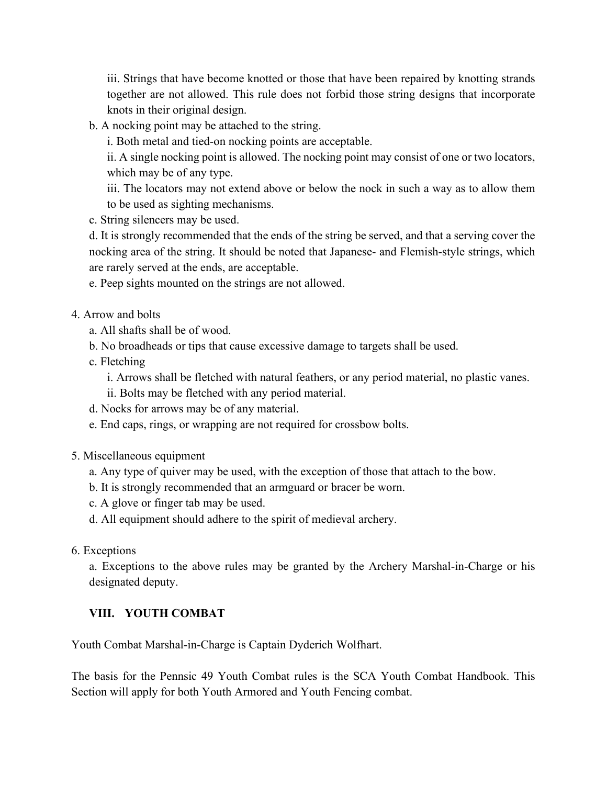iii. Strings that have become knotted or those that have been repaired by knotting strands together are not allowed. This rule does not forbid those string designs that incorporate knots in their original design.

b. A nocking point may be attached to the string.

i. Both metal and tied-on nocking points are acceptable.

ii. A single nocking point is allowed. The nocking point may consist of one or two locators, which may be of any type.

iii. The locators may not extend above or below the nock in such a way as to allow them to be used as sighting mechanisms.

c. String silencers may be used.

d. It is strongly recommended that the ends of the string be served, and that a serving cover the nocking area of the string. It should be noted that Japanese- and Flemish-style strings, which are rarely served at the ends, are acceptable.

e. Peep sights mounted on the strings are not allowed.

- 4. Arrow and bolts
	- a. All shafts shall be of wood.
	- b. No broadheads or tips that cause excessive damage to targets shall be used.
	- c. Fletching

i. Arrows shall be fletched with natural feathers, or any period material, no plastic vanes.

- ii. Bolts may be fletched with any period material.
- d. Nocks for arrows may be of any material.
- e. End caps, rings, or wrapping are not required for crossbow bolts.
- 5. Miscellaneous equipment
	- a. Any type of quiver may be used, with the exception of those that attach to the bow.
	- b. It is strongly recommended that an armguard or bracer be worn.
	- c. A glove or finger tab may be used.
	- d. All equipment should adhere to the spirit of medieval archery.
- 6. Exceptions

a. Exceptions to the above rules may be granted by the Archery Marshal-in-Charge or his designated deputy.

## **VIII. YOUTH COMBAT**

Youth Combat Marshal-in-Charge is Captain Dyderich Wolfhart.

The basis for the Pennsic 49 Youth Combat rules is the SCA Youth Combat Handbook. This Section will apply for both Youth Armored and Youth Fencing combat.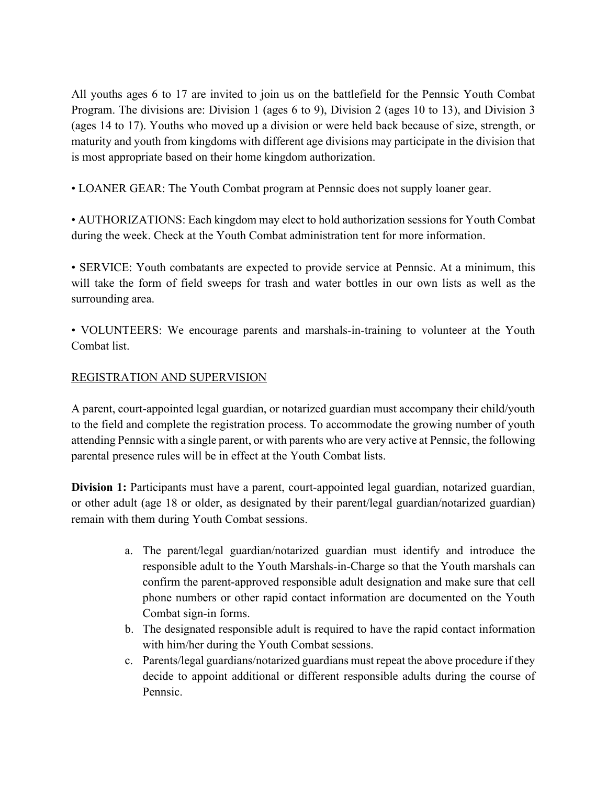All youths ages 6 to 17 are invited to join us on the battlefield for the Pennsic Youth Combat Program. The divisions are: Division 1 (ages 6 to 9), Division 2 (ages 10 to 13), and Division 3 (ages 14 to 17). Youths who moved up a division or were held back because of size, strength, or maturity and youth from kingdoms with different age divisions may participate in the division that is most appropriate based on their home kingdom authorization.

• LOANER GEAR: The Youth Combat program at Pennsic does not supply loaner gear.

• AUTHORIZATIONS: Each kingdom may elect to hold authorization sessions for Youth Combat during the week. Check at the Youth Combat administration tent for more information.

• SERVICE: Youth combatants are expected to provide service at Pennsic. At a minimum, this will take the form of field sweeps for trash and water bottles in our own lists as well as the surrounding area.

• VOLUNTEERS: We encourage parents and marshals-in-training to volunteer at the Youth Combat list.

## REGISTRATION AND SUPERVISION

A parent, court-appointed legal guardian, or notarized guardian must accompany their child/youth to the field and complete the registration process. To accommodate the growing number of youth attending Pennsic with a single parent, or with parents who are very active at Pennsic, the following parental presence rules will be in effect at the Youth Combat lists.

**Division 1:** Participants must have a parent, court-appointed legal guardian, notarized guardian, or other adult (age 18 or older, as designated by their parent/legal guardian/notarized guardian) remain with them during Youth Combat sessions.

- a. The parent/legal guardian/notarized guardian must identify and introduce the responsible adult to the Youth Marshals-in-Charge so that the Youth marshals can confirm the parent-approved responsible adult designation and make sure that cell phone numbers or other rapid contact information are documented on the Youth Combat sign-in forms.
- b. The designated responsible adult is required to have the rapid contact information with him/her during the Youth Combat sessions.
- c. Parents/legal guardians/notarized guardians must repeat the above procedure if they decide to appoint additional or different responsible adults during the course of Pennsic.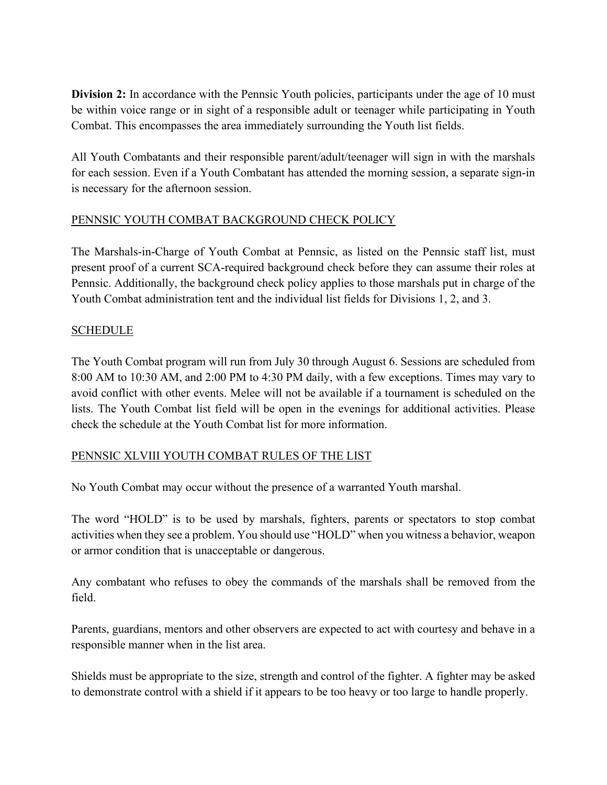**Division 2:** In accordance with the Pennsic Youth policies, participants under the age of 10 must be within voice range or in sight of a responsible adult or teenager while participating in Youth Combat. This encompasses the area immediately surrounding the Youth list fields.

All Youth Combatants and their responsible parent/adult/teenager will sign in with the marshals for each session. Even if a Youth Combatant has attended the morning session, a separate sign-in is necessary for the afternoon session.

## PENNSIC YOUTH COMBAT BACKGROUND CHECK POLICY

The Marshals-in-Charge of Youth Combat at Pennsic, as listed on the Pennsic staff list, must present proof of a current SCA-required background check before they can assume their roles at Pennsic. Additionally, the background check policy applies to those marshals put in charge of the Youth Combat administration tent and the individual list fields for Divisions 1, 2, and 3.

## SCHEDULE

The Youth Combat program will run from July 30 through August 6. Sessions are scheduled from 8:00 AM to 10:30 AM, and 2:00 PM to 4:30 PM daily, with a few exceptions. Times may vary to avoid conflict with other events. Melee will not be available if a tournament is scheduled on the lists. The Youth Combat list field will be open in the evenings for additional activities. Please check the schedule at the Youth Combat list for more information.

## PENNSIC XLVIII YOUTH COMBAT RULES OF THE LIST

No Youth Combat may occur without the presence of a warranted Youth marshal.

The word "HOLD" is to be used by marshals, fighters, parents or spectators to stop combat activities when they see a problem. You should use "HOLD" when you witness a behavior, weapon or armor condition that is unacceptable or dangerous.

Any combatant who refuses to obey the commands of the marshals shall be removed from the field.

Parents, guardians, mentors and other observers are expected to act with courtesy and behave in a responsible manner when in the list area.

Shields must be appropriate to the size, strength and control of the fighter. A fighter may be asked to demonstrate control with a shield if it appears to be too heavy or too large to handle properly.